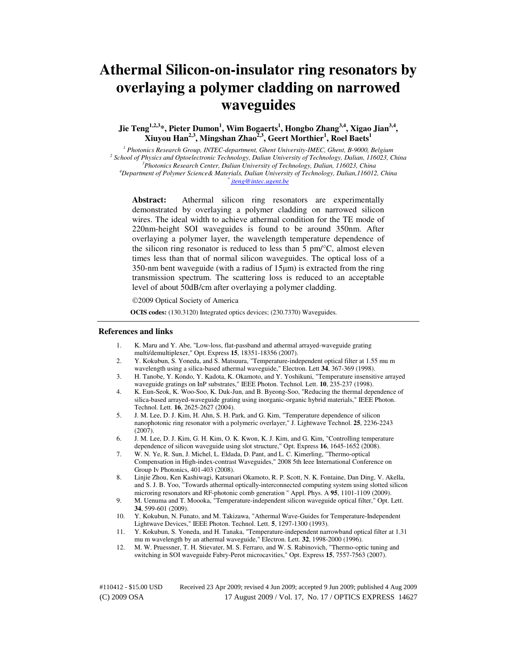# **Athermal Silicon-on-insulator ring resonators by overlaying a polymer cladding on narrowed waveguides**

**Jie Teng1,2,3\*, Pieter Dumon<sup>1</sup> , Wim Bogaerts<sup>1</sup> , Hongbo Zhang3,4, Xigao Jian3,4 , Xiuyou Han2,3, Mingshan Zhao2,3, Geert Morthier<sup>1</sup> , Roel Baets<sup>1</sup>**

<sup>1</sup> Photonics Research Group, INTEC-department, Ghent University-IMEC, Ghent, B-9000, Belgium <sup>2</sup> School of Physics and Optoelectronic Technology, Dalian University of Technology, Dalian, 116023, China *<sup>3</sup>Photonics Research Center, Dalian University of Technology, Dalian, 116023, China <sup>4</sup>Department of Polymer Science& Materials, Dalian University of Technology, Dalian,116012, China \* jteng@intec.ugent.be* 

**Abstract:** Athermal silicon ring resonators are experimentally demonstrated by overlaying a polymer cladding on narrowed silicon wires. The ideal width to achieve athermal condition for the TE mode of 220nm-height SOI waveguides is found to be around 350nm. After overlaying a polymer layer, the wavelength temperature dependence of the silicon ring resonator is reduced to less than 5 pm/°C, almost eleven times less than that of normal silicon waveguides. The optical loss of a 350-nm bent waveguide (with a radius of 15µm) is extracted from the ring transmission spectrum. The scattering loss is reduced to an acceptable level of about 50dB/cm after overlaying a polymer cladding.

2009 Optical Society of America

**OCIS codes:** (130.3120) Integrated optics devices; (230.7370) Waveguides.

#### **References and links**

- 1. K. Maru and Y. Abe, "Low-loss, flat-passband and athermal arrayed-waveguide grating multi/demultiplexer," Opt. Express **15**, 18351-18356 (2007).
- 2. Y. Kokubun, S. Yoneda, and S. Matsuura, "Temperature-independent optical filter at 1.55 mu m wavelength using a silica-based athermal waveguide," Electron. Lett **34**, 367-369 (1998).
- 3. H. Tanobe, Y. Kondo, Y. Kadota, K. Okamoto, and Y. Yoshikuni, "Temperature insensitive arrayed waveguide gratings on InP substrates," IEEE Photon. Technol. Lett. **10**, 235-237 (1998).
- 4. K. Eun-Seok, K. Woo-Soo, K. Duk-Jun, and B. Byeong-Soo, "Reducing the thermal dependence of silica-based arrayed-waveguide grating using inorganic-organic hybrid materials," IEEE Photon. Technol. Lett. **16**, 2625-2627 (2004).
- 5. J. M. Lee, D. J. Kim, H. Ahn, S. H. Park, and G. Kim, "Temperature dependence of silicon nanophotonic ring resonator with a polymeric overlayer," J. Lightwave Technol. **25**, 2236-2243 (2007).
- 6. J. M. Lee, D. J. Kim, G. H. Kim, O. K. Kwon, K. J. Kim, and G. Kim, "Controlling temperature dependence of silicon waveguide using slot structure," Opt. Express **16**, 1645-1652 (2008).
- 7. W. N. Ye, R. Sun, J. Michel, L. Eldada, D. Pant, and L. C. Kimerling, "Thermo-optical Compensation in High-index-contrast Waveguides," 2008 5th Ieee International Conference on Group Iv Photonics, 401-403 (2008).
- 8. Linjie Zhou, Ken Kashiwagi, Katsunari Okamoto, R. P. Scott, N. K. Fontaine, Dan Ding, V. Akella, and S. J. B. Yoo, "Towards athermal optically-interconnected computing system using slotted silicon microring resonators and RF-photonic comb generation " Appl. Phys. A **95**, 1101-1109 (2009).
- 9. M. Uenuma and T. Moooka, "Temperature-independent silicon waveguide optical filter," Opt. Lett. **34**, 599-601 (2009).
- 10. Y. Kokubun, N. Funato, and M. Takizawa, "Athermal Wave-Guides for Temperature-Independent Lightwave Devices," IEEE Photon. Technol. Lett. **5**, 1297-1300 (1993).
- 11. Y. Kokubun, S. Yoneda, and H. Tanaka, "Temperature-independent narrowband optical filter at 1.31 mu m wavelength by an athermal waveguide," Electron. Lett. **32**, 1998-2000 (1996).
- 12. M. W. Pruessner, T. H. Stievater, M. S. Ferraro, and W. S. Rabinovich, "Thermo-optic tuning and switching in SOI waveguide Fabry-Perot microcavities," Opt. Express **15**, 7557-7563 (2007).

#110412 - \$15.00 USD Received 23 Apr 2009; revised 4 Jun 2009; accepted 9 Jun 2009; published 4 Aug 2009 (C) 2009 OSA 17 August 2009 / Vol. 17, No. 17 / OPTICS EXPRESS 14627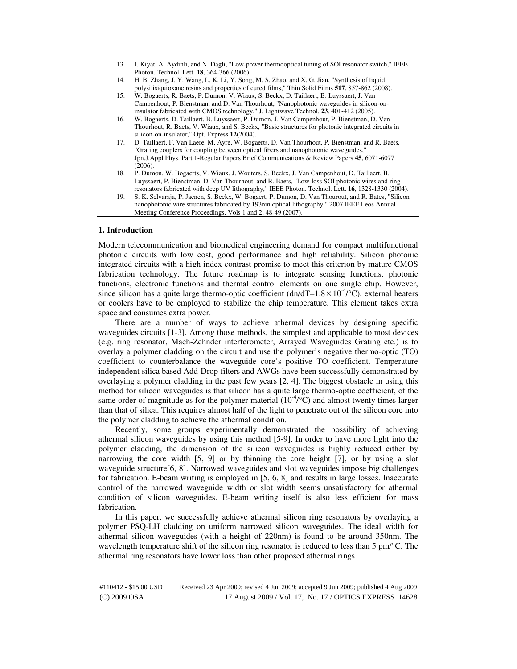- 13. I. Kiyat, A. Aydinli, and N. Dagli, "Low-power thermooptical tuning of SOI resonator switch," IEEE Photon. Technol. Lett. **18**, 364-366 (2006).
- 14. H. B. Zhang, J. Y. Wang, L. K. Li, Y. Song, M. S. Zhao, and X. G. Jian, "Synthesis of liquid polysilisiquioxane resins and properties of cured films," Thin Solid Films **517**, 857-862 (2008).
- 15. W. Bogaerts, R. Baets, P. Dumon, V. Wiaux, S. Beckx, D. Taillaert, B. Luyssaert, J. Van Campenhout, P. Bienstman, and D. Van Thourhout, "Nanophotonic waveguides in silicon-oninsulator fabricated with CMOS technology," J. Lightwave Technol. **23**, 401-412 (2005).
- 16. W. Bogaerts, D. Taillaert, B. Luyssaert, P. Dumon, J. Van Campenhout, P. Bienstman, D. Van Thourhout, R. Baets, V. Wiaux, and S. Beckx, "Basic structures for photonic integrated circuits in silicon-on-insulator," Opt. Express **12**(2004).
- 17. D. Taillaert, F. Van Laere, M. Ayre, W. Bogaerts, D. Van Thourhout, P. Bienstman, and R. Baets, "Grating couplers for coupling between optical fibers and nanophotonic waveguides," Jpn.J.Appl.Phys. Part 1-Regular Papers Brief Communications & Review Papers **45**, 6071-6077  $(2006)$ .
- 18. P. Dumon, W. Bogaerts, V. Wiaux, J. Wouters, S. Beckx, J. Van Campenhout, D. Taillaert, B. Luyssaert, P. Bienstman, D. Van Thourhout, and R. Baets, "Low-loss SOI photonic wires and ring resonators fabricated with deep UV lithography," IEEE Photon. Technol. Lett. **16**, 1328-1330 (2004).
- 19. S. K. Selvaraja, P. Jaenen, S. Beckx, W. Bogaert, P. Dumon, D. Van Thourout, and R. Bates, "Silicon nanophotonic wire structures fabricated by 193nm optical lithography," 2007 IEEE Leos Annual Meeting Conference Proceedings, Vols 1 and 2, 48-49 (2007).

# **1. Introduction**

Modern telecommunication and biomedical engineering demand for compact multifunctional photonic circuits with low cost, good performance and high reliability. Silicon photonic integrated circuits with a high index contrast promise to meet this criterion by mature CMOS fabrication technology. The future roadmap is to integrate sensing functions, photonic functions, electronic functions and thermal control elements on one single chip. However, since silicon has a quite large thermo-optic coefficient  $(dn/dT=1.8\times10^{-4}\degree C)$ , external heaters or coolers have to be employed to stabilize the chip temperature. This element takes extra space and consumes extra power.

There are a number of ways to achieve athermal devices by designing specific waveguides circuits [1-3]. Among those methods, the simplest and applicable to most devices (e.g. ring resonator, Mach-Zehnder interferometer, Arrayed Waveguides Grating etc.) is to overlay a polymer cladding on the circuit and use the polymer's negative thermo-optic (TO) coefficient to counterbalance the waveguide core's positive TO coefficient. Temperature independent silica based Add-Drop filters and AWGs have been successfully demonstrated by overlaying a polymer cladding in the past few years [2, 4]. The biggest obstacle in using this method for silicon waveguides is that silicon has a quite large thermo-optic coefficient, of the same order of magnitude as for the polymer material  $(10^{-4}/\text{°C})$  and almost twenty times larger than that of silica. This requires almost half of the light to penetrate out of the silicon core into the polymer cladding to achieve the athermal condition.

Recently, some groups experimentally demonstrated the possibility of achieving athermal silicon waveguides by using this method [5-9]. In order to have more light into the polymer cladding, the dimension of the silicon waveguides is highly reduced either by narrowing the core width [5, 9] or by thinning the core height [7], or by using a slot waveguide structure[6, 8]. Narrowed waveguides and slot waveguides impose big challenges for fabrication. E-beam writing is employed in [5, 6, 8] and results in large losses. Inaccurate control of the narrowed waveguide width or slot width seems unsatisfactory for athermal condition of silicon waveguides. E-beam writing itself is also less efficient for mass fabrication.

In this paper, we successfully achieve athermal silicon ring resonators by overlaying a polymer PSQ-LH cladding on uniform narrowed silicon waveguides. The ideal width for athermal silicon waveguides (with a height of 220nm) is found to be around 350nm. The wavelength temperature shift of the silicon ring resonator is reduced to less than 5 pm/°C. The athermal ring resonators have lower loss than other proposed athermal rings.

#110412 - \$15.00 USD Received 23 Apr 2009; revised 4 Jun 2009; accepted 9 Jun 2009; published 4 Aug 2009 (C) 2009 OSA 17 August 2009 / Vol. 17, No. 17 / OPTICS EXPRESS 14628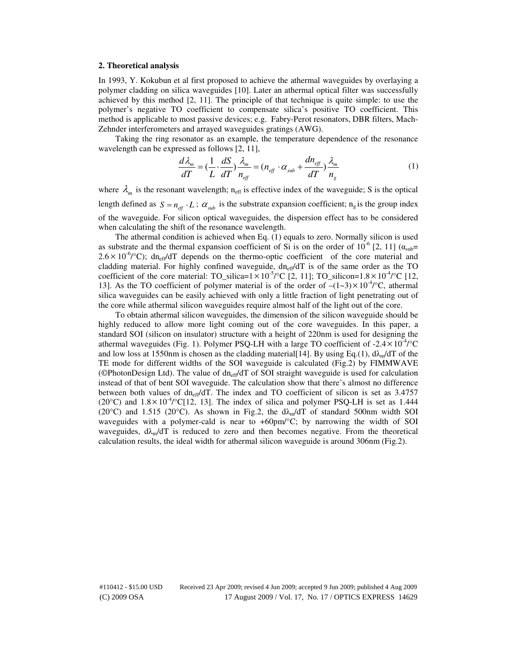# **2. Theoretical analysis**

In 1993, Y. Kokubun et al first proposed to achieve the athermal waveguides by overlaying a polymer cladding on silica waveguides [10]. Later an athermal optical filter was successfully achieved by this method [2, 11]. The principle of that technique is quite simple: to use the polymer's negative TO coefficient to compensate silica's positive TO coefficient. This method is applicable to most passive devices; e.g. Fabry-Perot resonators, DBR filters, Mach-Zehnder interferometers and arrayed waveguides gratings (AWG).

Taking the ring resonator as an example, the temperature dependence of the resonance wavelength can be expressed as follows [2, 11],

$$
\frac{d\lambda_m}{dT} = \left(\frac{1}{L} \cdot \frac{dS}{dT}\right) \frac{\lambda_m}{n_{\text{eff}}} = \left(n_{\text{eff}} \cdot \alpha_{\text{sub}} + \frac{dn_{\text{eff}}}{dT}\right) \frac{\lambda_m}{n_g} \tag{1}
$$

where  $\lambda_m$  is the resonant wavelength; n<sub>eff</sub> is effective index of the waveguide; S is the optical length defined as  $S = n_{\text{eff}} \cdot L$ ;  $\alpha_{\text{sub}}$  is the substrate expansion coefficient;  $n_g$  is the group index of the waveguide. For silicon optical waveguides, the dispersion effect has to be considered when calculating the shift of the resonance wavelength.

The athermal condition is achieved when Eq. (1) equals to zero. Normally silicon is used as substrate and the thermal expansion coefficient of Si is on the order of  $10^{-6}$  [2, 11] ( $\alpha_{sub}$ =  $2.6 \times 10^{-6}$ /°C); dn<sub>eff</sub>/dT depends on the thermo-optic coefficient of the core material and cladding material. For highly confined waveguide,  $dn_{eff}/dT$  is of the same order as the TO coefficient of the core material: TO\_silica=1×10<sup>-5</sup>/°C [2, 11]; TO\_silicon=1.8×10<sup>-4</sup>/°C [12, 13]. As the TO coefficient of polymer material is of the order of  $-(1-3) \times 10^{-4}$ °C, athermal silica waveguides can be easily achieved with only a little fraction of light penetrating out of the core while athermal silicon waveguides require almost half of the light out of the core.

To obtain athermal silicon waveguides, the dimension of the silicon waveguide should be highly reduced to allow more light coming out of the core waveguides. In this paper, a standard SOI (silicon on insulator) structure with a height of 220nm is used for designing the athermal waveguides (Fig. 1). Polymer PSQ-LH with a large TO coefficient of  $-2.4 \times 10^{-4}$  °C and low loss at 1550nm is chosen as the cladding material [14]. By using Eq.(1),  $d\lambda_{m}/dT$  of the TE mode for different widths of the SOI waveguide is calculated (Fig.2) by FIMMWAVE (©PhotonDesign Ltd). The value of  $dn_{eff}/dT$  of SOI straight waveguide is used for calculation instead of that of bent SOI waveguide. The calculation show that there's almost no difference between both values of  $dn_{eff}/dT$ . The index and TO coefficient of silicon is set as 3.4757 (20 $^{\circ}$ C) and 1.8×10<sup>-4</sup>/ $^{\circ}$ C[12, 13]. The index of silica and polymer PSQ-LH is set as 1.444 (20 $^{\circ}$ C) and 1.515 (20 $^{\circ}$ C). As shown in Fig.2, the d $\lambda_{m}/dT$  of standard 500nm width SOI waveguides with a polymer-cald is near to  $+60 \text{pm}^{\circ}$ C; by narrowing the width of SOI waveguides,  $d\lambda_{m}/dT$  is reduced to zero and then becomes negative. From the theoretical calculation results, the ideal width for athermal silicon waveguide is around 306nm (Fig.2).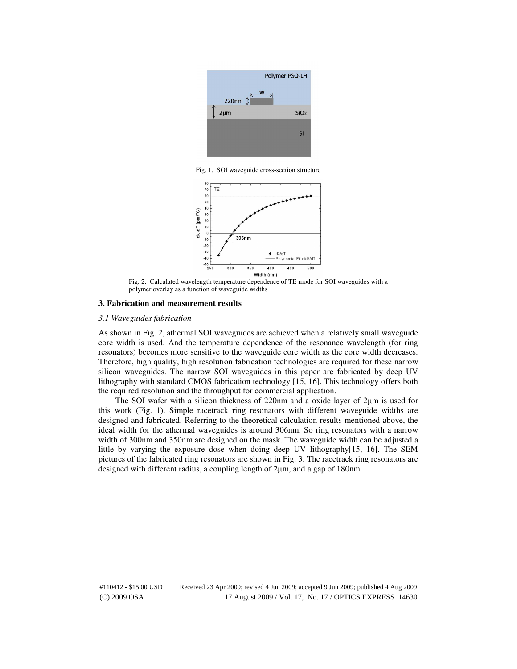

Fig. 1. SOI waveguide cross-section structure



Fig. 2. Calculated wavelength temperature dependence of TE mode for SOI waveguides with a polymer overlay as a function of waveguide widths

# **3. Fabrication and measurement results**

## *3.1 Waveguides fabrication*

As shown in Fig. 2, athermal SOI waveguides are achieved when a relatively small waveguide core width is used. And the temperature dependence of the resonance wavelength (for ring resonators) becomes more sensitive to the waveguide core width as the core width decreases. Therefore, high quality, high resolution fabrication technologies are required for these narrow silicon waveguides. The narrow SOI waveguides in this paper are fabricated by deep UV lithography with standard CMOS fabrication technology [15, 16]. This technology offers both the required resolution and the throughput for commercial application.

The SOI wafer with a silicon thickness of 220nm and a oxide layer of 2µm is used for this work (Fig. 1). Simple racetrack ring resonators with different waveguide widths are designed and fabricated. Referring to the theoretical calculation results mentioned above, the ideal width for the athermal waveguides is around 306nm. So ring resonators with a narrow width of 300nm and 350nm are designed on the mask. The waveguide width can be adjusted a little by varying the exposure dose when doing deep UV lithography[15, 16]. The SEM pictures of the fabricated ring resonators are shown in Fig. 3. The racetrack ring resonators are designed with different radius, a coupling length of 2µm, and a gap of 180nm.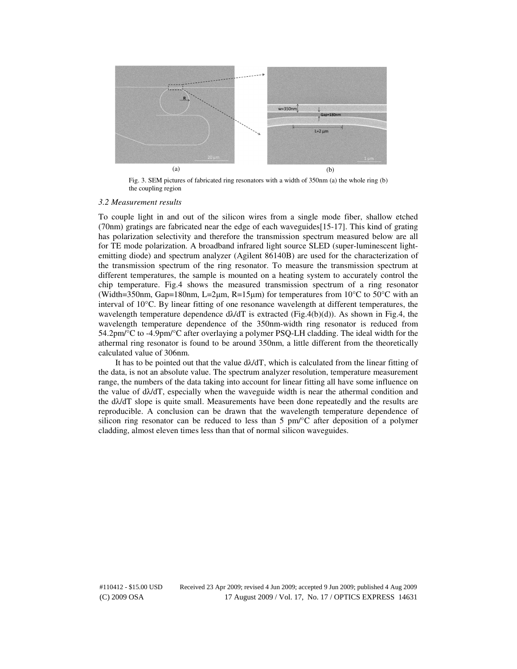

Fig. 3. SEM pictures of fabricated ring resonators with a width of 350nm (a) the whole ring (b) the coupling region

#### *3.2 Measurement results*

To couple light in and out of the silicon wires from a single mode fiber, shallow etched (70nm) gratings are fabricated near the edge of each waveguides[15-17]. This kind of grating has polarization selectivity and therefore the transmission spectrum measured below are all for TE mode polarization. A broadband infrared light source SLED (super-luminescent lightemitting diode) and spectrum analyzer (Agilent 86140B) are used for the characterization of the transmission spectrum of the ring resonator. To measure the transmission spectrum at different temperatures, the sample is mounted on a heating system to accurately control the chip temperature. Fig.4 shows the measured transmission spectrum of a ring resonator (Width=350nm, Gap=180nm, L=2 $\mu$ m, R=15 $\mu$ m) for temperatures from 10<sup>o</sup>C to 50<sup>o</sup>C with an interval of 10°C. By linear fitting of one resonance wavelength at different temperatures, the wavelength temperature dependence  $d\lambda/dT$  is extracted (Fig.4(b)(d)). As shown in Fig.4, the wavelength temperature dependence of the 350nm-width ring resonator is reduced from 54.2pm/°C to -4.9pm/°C after overlaying a polymer PSQ-LH cladding. The ideal width for the athermal ring resonator is found to be around 350nm, a little different from the theoretically calculated value of 306nm.

It has to be pointed out that the value  $d\lambda/dT$ , which is calculated from the linear fitting of the data, is not an absolute value. The spectrum analyzer resolution, temperature measurement range, the numbers of the data taking into account for linear fitting all have some influence on the value of  $d\lambda/dT$ , especially when the waveguide width is near the athermal condition and the  $d\lambda/dT$  slope is quite small. Measurements have been done repeatedly and the results are reproducible. A conclusion can be drawn that the wavelength temperature dependence of silicon ring resonator can be reduced to less than 5  $pm^{\circ}$ C after deposition of a polymer cladding, almost eleven times less than that of normal silicon waveguides.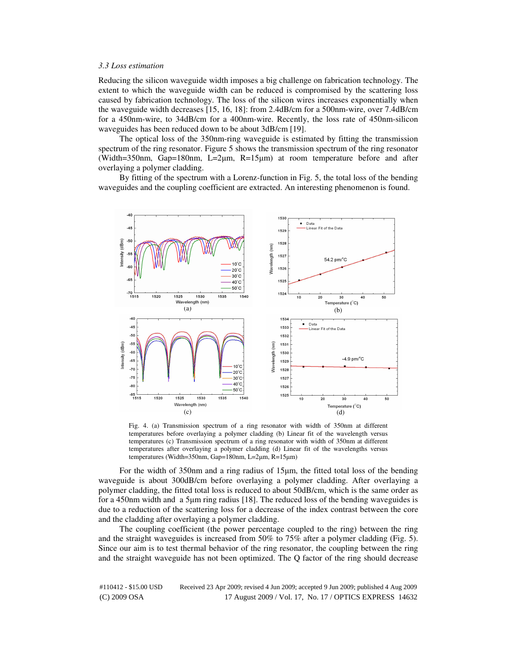## *3.3 Loss estimation*

Reducing the silicon waveguide width imposes a big challenge on fabrication technology. The extent to which the waveguide width can be reduced is compromised by the scattering loss caused by fabrication technology. The loss of the silicon wires increases exponentially when the waveguide width decreases [15, 16, 18]: from 2.4dB/cm for a 500nm-wire, over 7.4dB/cm for a 450nm-wire, to 34dB/cm for a 400nm-wire. Recently, the loss rate of 450nm-silicon waveguides has been reduced down to be about 3dB/cm [19].

The optical loss of the 350nm-ring waveguide is estimated by fitting the transmission spectrum of the ring resonator. Figure 5 shows the transmission spectrum of the ring resonator (Width=350nm, Gap=180nm, L=2µm, R=15µm) at room temperature before and after overlaying a polymer cladding.

By fitting of the spectrum with a Lorenz-function in Fig. 5, the total loss of the bending waveguides and the coupling coefficient are extracted. An interesting phenomenon is found.



Fig. 4. (a) Transmission spectrum of a ring resonator with width of 350nm at different temperatures before overlaying a polymer cladding (b) Linear fit of the wavelength versus temperatures (c) Transmission spectrum of a ring resonator with width of 350nm at different temperatures after overlaying a polymer cladding (d) Linear fit of the wavelengths versus temperatures (Width=350nm, Gap=180nm, L=2µm, R=15µm)

For the width of 350nm and a ring radius of 15µm, the fitted total loss of the bending waveguide is about 300dB/cm before overlaying a polymer cladding. After overlaying a polymer cladding, the fitted total loss is reduced to about 50dB/cm, which is the same order as for a 450nm width and a 5 $\mu$ m ring radius [18]. The reduced loss of the bending waveguides is due to a reduction of the scattering loss for a decrease of the index contrast between the core and the cladding after overlaying a polymer cladding.

The coupling coefficient (the power percentage coupled to the ring) between the ring and the straight waveguides is increased from 50% to 75% after a polymer cladding (Fig. 5). Since our aim is to test thermal behavior of the ring resonator, the coupling between the ring and the straight waveguide has not been optimized. The Q factor of the ring should decrease

#110412 - \$15.00 USD Received 23 Apr 2009; revised 4 Jun 2009; accepted 9 Jun 2009; published 4 Aug 2009 (C) 2009 OSA 17 August 2009 / Vol. 17, No. 17 / OPTICS EXPRESS 14632